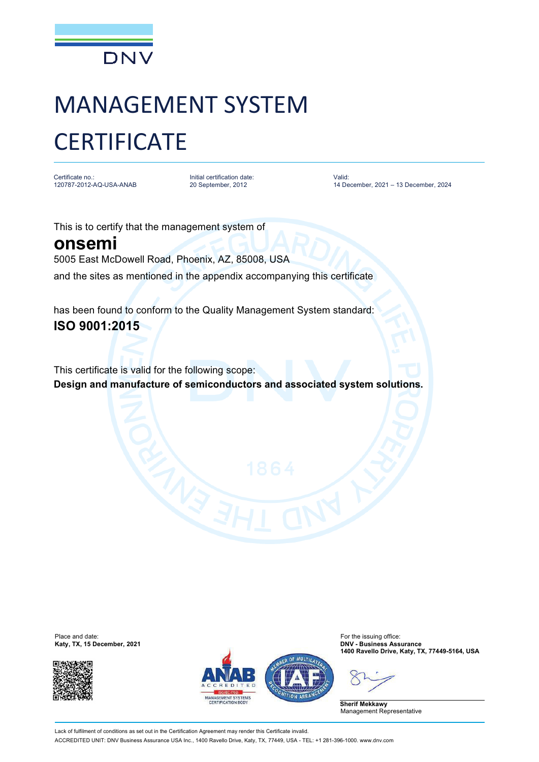

## MANAGEMENT SYSTEM **CERTIFICATE**

Certificate no.: 120787-2012-AQ-USA-ANAB

Initial certification date: 20 September, 2012

Valid: 14 December, 2021 – 13 December, 2024

This is to certify that the management system of

## **onsemi** 5005 East McDowell Road, Phoenix, AZ, 85008, USA and the sites as mentioned in the appendix accompanying this certificate

has been found to conform to the Quality Management System standard: **ISO 9001:2015**

This certificate is valid for the following scope: **Design and manufacture of semiconductors and associated system solutions.**

Place and date: **For the issuing office:** For the issuing office:





**1400 Ravello Drive, Katy, TX, 77449-5164, USA**

**Sherif Mekkawy** Management Representative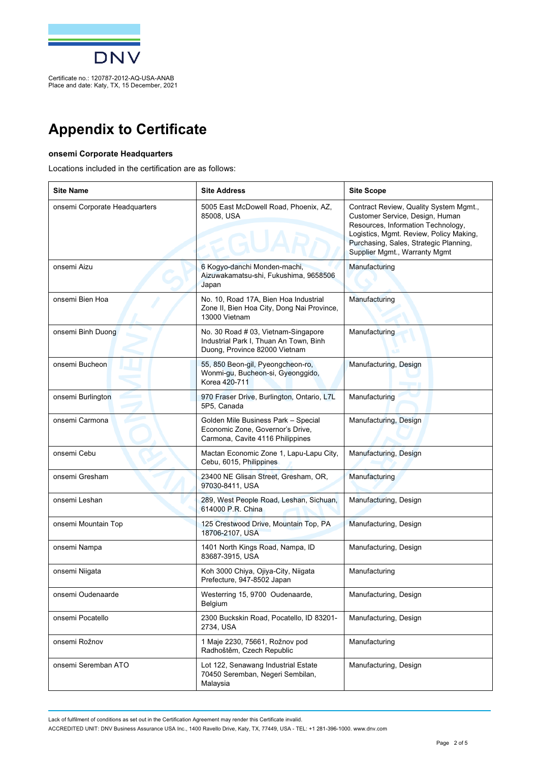

## **Appendix to Certificate**

## **onsemi Corporate Headquarters**

Place and date: Katy, TX, 15 December, 2021

Locations included in the certification are as follows:

| <b>Site Name</b>              | <b>Site Address</b>                                                                                            | <b>Site Scope</b>                                                                                                                                                                                                                     |
|-------------------------------|----------------------------------------------------------------------------------------------------------------|---------------------------------------------------------------------------------------------------------------------------------------------------------------------------------------------------------------------------------------|
| onsemi Corporate Headquarters | 5005 East McDowell Road, Phoenix, AZ,<br>85008, USA                                                            | Contract Review, Quality System Mgmt.,<br>Customer Service, Design, Human<br>Resources, Information Technology,<br>Logistics, Mgmt. Review, Policy Making,<br>Purchasing, Sales, Strategic Planning,<br>Supplier Mgmt., Warranty Mgmt |
| onsemi Aizu                   | 6 Kogyo-danchi Monden-machi,<br>Aizuwakamatsu-shi, Fukushima, 9658506<br>Japan                                 | Manufacturing                                                                                                                                                                                                                         |
| onsemi Bien Hoa               | No. 10, Road 17A, Bien Hoa Industrial<br>Zone II, Bien Hoa City, Dong Nai Province,<br>13000 Vietnam           | Manufacturing                                                                                                                                                                                                                         |
| onsemi Binh Duong             | No. 30 Road # 03, Vietnam-Singapore<br>Industrial Park I, Thuan An Town, Binh<br>Duong, Province 82000 Vietnam | Manufacturing                                                                                                                                                                                                                         |
| onsemi Bucheon                | 55, 850 Beon-gil, Pyeongcheon-ro,<br>Wonmi-gu, Bucheon-si, Gyeonggido,<br>Korea 420-711                        | Manufacturing, Design                                                                                                                                                                                                                 |
| onsemi Burlington             | 970 Fraser Drive, Burlington, Ontario, L7L<br>5P5, Canada                                                      | Manufacturing                                                                                                                                                                                                                         |
| onsemi Carmona                | Golden Mile Business Park - Special<br>Economic Zone, Governor's Drive,<br>Carmona, Cavite 4116 Philippines    | Manufacturing, Design                                                                                                                                                                                                                 |
| onsemi Cebu                   | Mactan Economic Zone 1, Lapu-Lapu City,<br>Cebu, 6015, Philippines                                             | Manufacturing, Design                                                                                                                                                                                                                 |
| onsemi Gresham                | 23400 NE Glisan Street, Gresham, OR,<br>97030-8411, USA                                                        | Manufacturing                                                                                                                                                                                                                         |
| onsemi Leshan                 | 289, West People Road, Leshan, Sichuan,<br>614000 P.R. China                                                   | Manufacturing, Design                                                                                                                                                                                                                 |
| onsemi Mountain Top           | 125 Crestwood Drive, Mountain Top, PA<br>18706-2107, USA                                                       | Manufacturing, Design                                                                                                                                                                                                                 |
| onsemi Nampa                  | 1401 North Kings Road, Nampa, ID<br>83687-3915, USA                                                            | Manufacturing, Design                                                                                                                                                                                                                 |
| onsemi Niigata                | Koh 3000 Chiya, Ojiya-City, Niigata<br>Prefecture, 947-8502 Japan                                              | Manufacturing                                                                                                                                                                                                                         |
| onsemi Oudenaarde             | Westerring 15, 9700 Oudenaarde,<br>Belgium                                                                     | Manufacturing, Design                                                                                                                                                                                                                 |
| onsemi Pocatello              | 2300 Buckskin Road, Pocatello, ID 83201-<br>2734, USA                                                          | Manufacturing, Design                                                                                                                                                                                                                 |
| onsemi Rožnov                 | 1 Maje 2230, 75661, Rožnov pod<br>Radhoštěm, Czech Republic                                                    | Manufacturing                                                                                                                                                                                                                         |
| onsemi Seremban ATO           | Lot 122, Senawang Industrial Estate<br>70450 Seremban, Negeri Sembilan,<br>Malaysia                            | Manufacturing, Design                                                                                                                                                                                                                 |

Lack of fulfilment of conditions as set out in the Certification Agreement may render this Certificate invalid.

ACCREDITED UNIT: DNV Business Assurance USA Inc., 1400 Ravello Drive, Katy, TX, 77449, USA - TEL: +1 281-396-1000. [www.dnv.com](http://www.dnv.com)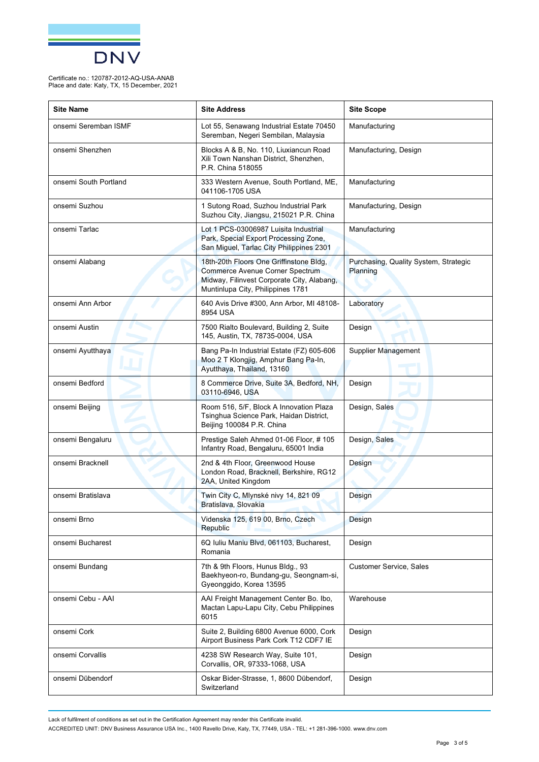

Certificate no.: 120787-2012-AQ-USA-ANAB Place and date: Katy, TX, 15 December, 2021

| <b>Site Name</b>      | <b>Site Address</b>                                                                                                                                           | <b>Site Scope</b>                                 |
|-----------------------|---------------------------------------------------------------------------------------------------------------------------------------------------------------|---------------------------------------------------|
| onsemi Seremban ISMF  | Lot 55, Senawang Industrial Estate 70450<br>Seremban, Negeri Sembilan, Malaysia                                                                               | Manufacturing                                     |
| onsemi Shenzhen       | Blocks A & B, No. 110, Liuxiancun Road<br>Xili Town Nanshan District, Shenzhen,<br>P.R. China 518055                                                          | Manufacturing, Design                             |
| onsemi South Portland | 333 Western Avenue, South Portland, ME,<br>041106-1705 USA                                                                                                    | Manufacturing                                     |
| onsemi Suzhou         | 1 Sutong Road, Suzhou Industrial Park<br>Suzhou City, Jiangsu, 215021 P.R. China                                                                              | Manufacturing, Design                             |
| onsemi Tarlac         | Lot 1 PCS-03006987 Luisita Industrial<br>Park, Special Export Processing Zone,<br>San Miguel, Tarlac City Philippines 2301                                    | Manufacturing                                     |
| onsemi Alabang        | 18th-20th Floors One Griffinstone Bldg,<br>Commerce Avenue Corner Spectrum<br>Midway, Filinvest Corporate City, Alabang,<br>Muntinlupa City, Philippines 1781 | Purchasing, Quality System, Strategic<br>Planning |
| onsemi Ann Arbor      | 640 Avis Drive #300, Ann Arbor, MI 48108-<br>8954 USA                                                                                                         | Laboratory                                        |
| onsemi Austin         | 7500 Rialto Boulevard, Building 2, Suite<br>145, Austin, TX, 78735-0004, USA                                                                                  | Design                                            |
| onsemi Ayutthaya      | Bang Pa-In Industrial Estate (FZ) 605-606<br>Moo 2 T Klongjig, Amphur Bang Pa-In,<br>Ayutthaya, Thailand, 13160                                               | Supplier Management                               |
| onsemi Bedford        | 8 Commerce Drive, Suite 3A, Bedford, NH,<br>03110-6946, USA                                                                                                   | Design                                            |
| onsemi Beijing        | Room 516, 5/F, Block A Innovation Plaza<br>Tsinghua Science Park, Haidan District,<br>Beijing 100084 P.R. China                                               | Design, Sales                                     |
| onsemi Bengaluru      | Prestige Saleh Ahmed 01-06 Floor, #105<br>Infantry Road, Bengaluru, 65001 India                                                                               | Design, Sales                                     |
| onsemi Bracknell      | 2nd & 4th Floor, Greenwood House<br>London Road, Bracknell, Berkshire, RG12<br>2AA, United Kingdom                                                            | Design                                            |
| onsemi Bratislava     | Twin City C, Mlynské nivy 14, 821 09<br>Bratislava, Slovakia                                                                                                  | Design                                            |
| onsemi Brno           | Videnska 125, 619 00, Brno, Czech<br>Republic                                                                                                                 | Design                                            |
| onsemi Bucharest      | 6Q Iuliu Maniu Blvd, 061103, Bucharest,<br>Romania                                                                                                            | Design                                            |
| onsemi Bundang        | 7th & 9th Floors, Hunus Bldg., 93<br>Baekhyeon-ro, Bundang-gu, Seongnam-si,<br>Gyeonggido, Korea 13595                                                        | <b>Customer Service, Sales</b>                    |
| onsemi Cebu - AAI     | AAI Freight Management Center Bo. Ibo,<br>Mactan Lapu-Lapu City, Cebu Philippines<br>6015                                                                     | Warehouse                                         |
| onsemi Cork           | Suite 2, Building 6800 Avenue 6000, Cork<br>Airport Business Park Cork T12 CDF7 IE                                                                            | Design                                            |
| onsemi Corvallis      | 4238 SW Research Way, Suite 101,<br>Corvallis, OR, 97333-1068, USA                                                                                            | Design                                            |
| onsemi Dübendorf      | Oskar Bider-Strasse, 1, 8600 Dübendorf,<br>Switzerland                                                                                                        | Design                                            |

Lack of fulfilment of conditions as set out in the Certification Agreement may render this Certificate invalid.

ACCREDITED UNIT: DNV Business Assurance USA Inc., 1400 Ravello Drive, Katy, TX, 77449, USA - TEL: +1 281-396-1000. [www.dnv.com](http://www.dnv.com)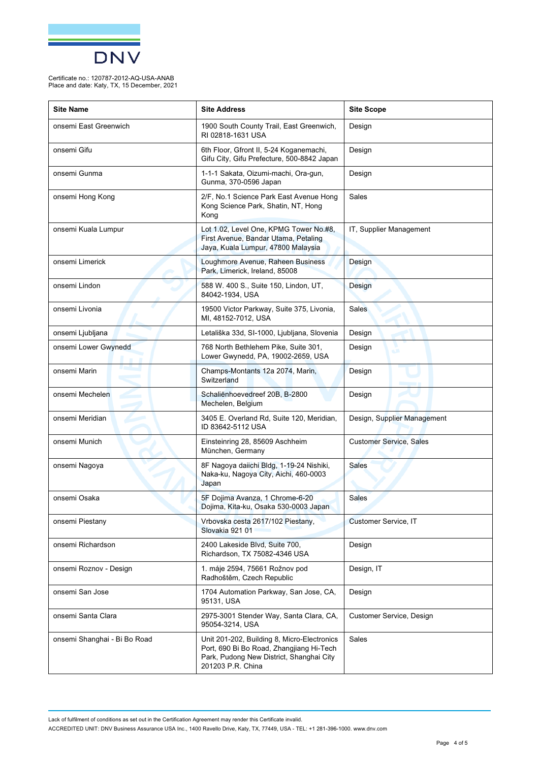

Certificate no.: 120787-2012-AQ-USA-ANAB Place and date: Katy, TX, 15 December, 2021

| <b>Site Name</b>             | <b>Site Address</b>                                                                                                                                      | <b>Site Scope</b>              |
|------------------------------|----------------------------------------------------------------------------------------------------------------------------------------------------------|--------------------------------|
| onsemi East Greenwich        | 1900 South County Trail, East Greenwich,<br>RI 02818-1631 USA                                                                                            | Design                         |
| onsemi Gifu                  | 6th Floor, Gfront II, 5-24 Koganemachi,<br>Gifu City, Gifu Prefecture, 500-8842 Japan                                                                    | Design                         |
| onsemi Gunma                 | 1-1-1 Sakata, Oizumi-machi, Ora-gun,<br>Gunma, 370-0596 Japan                                                                                            | Design                         |
| onsemi Hong Kong             | 2/F, No.1 Science Park East Avenue Hong<br>Kong Science Park, Shatin, NT, Hong<br>Kong                                                                   | Sales                          |
| onsemi Kuala Lumpur          | Lot 1.02, Level One, KPMG Tower No.#8,<br>First Avenue, Bandar Utama, Petaling<br>Jaya, Kuala Lumpur, 47800 Malaysia                                     | IT, Supplier Management        |
| onsemi Limerick              | Loughmore Avenue, Raheen Business<br>Park, Limerick, Ireland, 85008                                                                                      | Design                         |
| onsemi Lindon                | 588 W. 400 S., Suite 150, Lindon, UT,<br>84042-1934, USA                                                                                                 | Design                         |
| onsemi Livonia               | 19500 Victor Parkway, Suite 375, Livonia,<br>MI, 48152-7012, USA                                                                                         | <b>Sales</b>                   |
| onsemi Ljubljana             | Letališka 33d, SI-1000, Ljubljana, Slovenia                                                                                                              | Design                         |
| onsemi Lower Gwynedd         | 768 North Bethlehem Pike, Suite 301,<br>Lower Gwynedd, PA, 19002-2659, USA                                                                               | ٦<br>Design<br>w               |
| onsemi Marin                 | Champs-Montants 12a 2074, Marin,<br>Switzerland                                                                                                          | Design                         |
| onsemi Mechelen              | Schaliënhoevedreef 20B, B-2800<br>Mechelen, Belgium                                                                                                      | Design                         |
| onsemi Meridian              | 3405 E. Overland Rd, Suite 120, Meridian,<br>ID 83642-5112 USA                                                                                           | Design, Supplier Management    |
| onsemi Munich                | Einsteinring 28, 85609 Aschheim<br>München, Germany                                                                                                      | <b>Customer Service, Sales</b> |
| onsemi Nagoya                | 8F Nagoya daiichi Bldg, 1-19-24 Nishiki,<br>Naka-ku, Nagoya City, Aichi, 460-0003<br>Japan                                                               | Sales                          |
| onsemi Osaka                 | 5F Dojima Avanza, 1 Chrome-6-20<br>Dojima, Kita-ku, Osaka 530-0003 Japan                                                                                 | <b>Sales</b>                   |
| onsemi Piestany              | Vrbovska cesta 2617/102 Piestany,<br>Slovakia 921 01                                                                                                     | Customer Service, IT           |
| onsemi Richardson            | 2400 Lakeside Blvd, Suite 700,<br>Richardson, TX 75082-4346 USA                                                                                          | Design                         |
| onsemi Roznov - Design       | 1. máje 2594, 75661 Rožnov pod<br>Radhoštěm, Czech Republic                                                                                              | Design, IT                     |
| onsemi San Jose              | 1704 Automation Parkway, San Jose, CA,<br>95131, USA                                                                                                     | Design                         |
| onsemi Santa Clara           | 2975-3001 Stender Way, Santa Clara, CA,<br>95054-3214, USA                                                                                               | Customer Service, Design       |
| onsemi Shanghai - Bi Bo Road | Unit 201-202, Building 8, Micro-Electronics<br>Port, 690 Bi Bo Road, Zhangjiang Hi-Tech<br>Park, Pudong New District, Shanghai City<br>201203 P.R. China | Sales                          |

Lack of fulfilment of conditions as set out in the Certification Agreement may render this Certificate invalid.

ACCREDITED UNIT: DNV Business Assurance USA Inc., 1400 Ravello Drive, Katy, TX, 77449, USA - TEL: +1 281-396-1000. [www.dnv.com](http://www.dnv.com)